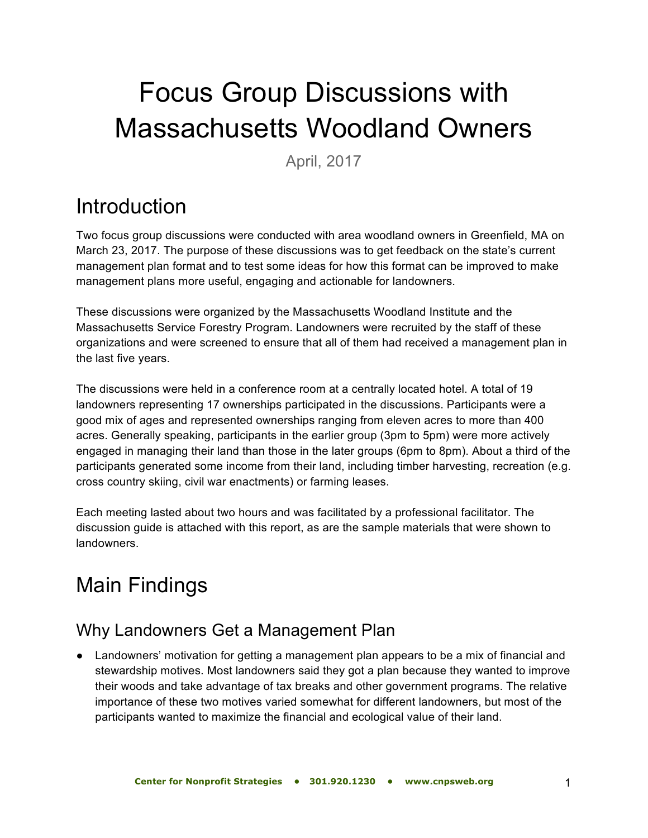# Focus Group Discussions with Massachusetts Woodland Owners

April, 2017

## **Introduction**

Two focus group discussions were conducted with area woodland owners in Greenfield, MA on March 23, 2017. The purpose of these discussions was to get feedback on the state's current management plan format and to test some ideas for how this format can be improved to make management plans more useful, engaging and actionable for landowners.

These discussions were organized by the Massachusetts Woodland Institute and the Massachusetts Service Forestry Program. Landowners were recruited by the staff of these organizations and were screened to ensure that all of them had received a management plan in the last five years.

The discussions were held in a conference room at a centrally located hotel. A total of 19 landowners representing 17 ownerships participated in the discussions. Participants were a good mix of ages and represented ownerships ranging from eleven acres to more than 400 acres. Generally speaking, participants in the earlier group (3pm to 5pm) were more actively engaged in managing their land than those in the later groups (6pm to 8pm). About a third of the participants generated some income from their land, including timber harvesting, recreation (e.g. cross country skiing, civil war enactments) or farming leases.

Each meeting lasted about two hours and was facilitated by a professional facilitator. The discussion guide is attached with this report, as are the sample materials that were shown to landowners.

# Main Findings

### Why Landowners Get a Management Plan

● Landowners' motivation for getting a management plan appears to be a mix of financial and stewardship motives. Most landowners said they got a plan because they wanted to improve their woods and take advantage of tax breaks and other government programs. The relative importance of these two motives varied somewhat for different landowners, but most of the participants wanted to maximize the financial and ecological value of their land.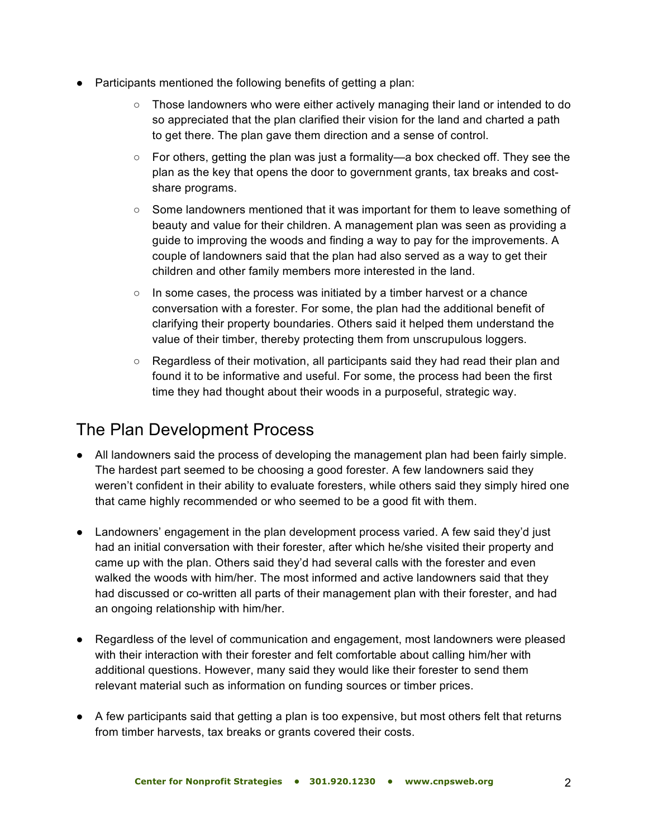- Participants mentioned the following benefits of getting a plan:
	- Those landowners who were either actively managing their land or intended to do so appreciated that the plan clarified their vision for the land and charted a path to get there. The plan gave them direction and a sense of control.
	- For others, getting the plan was just a formality—a box checked off. They see the plan as the key that opens the door to government grants, tax breaks and costshare programs.
	- Some landowners mentioned that it was important for them to leave something of beauty and value for their children. A management plan was seen as providing a guide to improving the woods and finding a way to pay for the improvements. A couple of landowners said that the plan had also served as a way to get their children and other family members more interested in the land.
	- $\circ$  In some cases, the process was initiated by a timber harvest or a chance conversation with a forester. For some, the plan had the additional benefit of clarifying their property boundaries. Others said it helped them understand the value of their timber, thereby protecting them from unscrupulous loggers.
	- Regardless of their motivation, all participants said they had read their plan and found it to be informative and useful. For some, the process had been the first time they had thought about their woods in a purposeful, strategic way.

### The Plan Development Process

- All landowners said the process of developing the management plan had been fairly simple. The hardest part seemed to be choosing a good forester. A few landowners said they weren't confident in their ability to evaluate foresters, while others said they simply hired one that came highly recommended or who seemed to be a good fit with them.
- Landowners' engagement in the plan development process varied. A few said they'd just had an initial conversation with their forester, after which he/she visited their property and came up with the plan. Others said they'd had several calls with the forester and even walked the woods with him/her. The most informed and active landowners said that they had discussed or co-written all parts of their management plan with their forester, and had an ongoing relationship with him/her.
- Regardless of the level of communication and engagement, most landowners were pleased with their interaction with their forester and felt comfortable about calling him/her with additional questions. However, many said they would like their forester to send them relevant material such as information on funding sources or timber prices.
- A few participants said that getting a plan is too expensive, but most others felt that returns from timber harvests, tax breaks or grants covered their costs.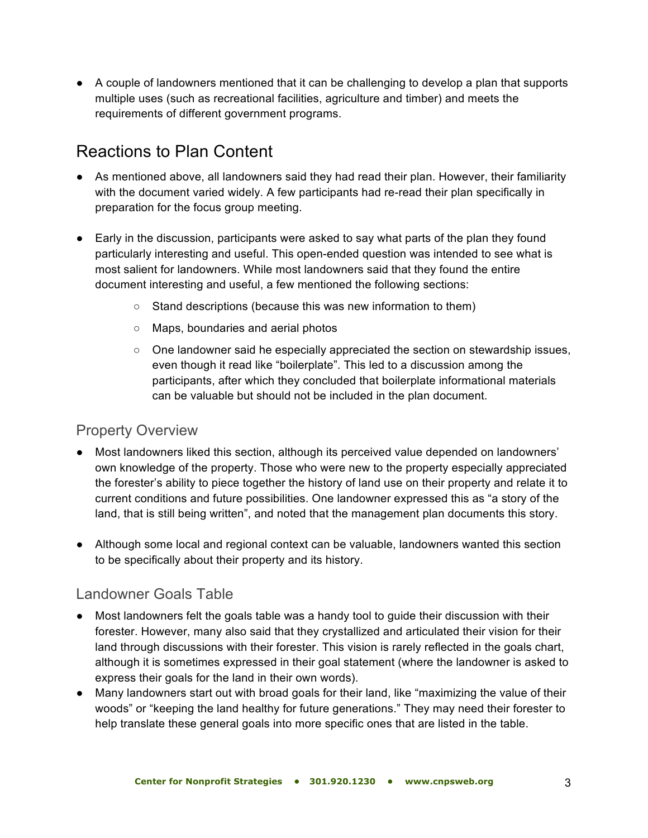● A couple of landowners mentioned that it can be challenging to develop a plan that supports multiple uses (such as recreational facilities, agriculture and timber) and meets the requirements of different government programs.

### Reactions to Plan Content

- As mentioned above, all landowners said they had read their plan. However, their familiarity with the document varied widely. A few participants had re-read their plan specifically in preparation for the focus group meeting.
- Early in the discussion, participants were asked to say what parts of the plan they found particularly interesting and useful. This open-ended question was intended to see what is most salient for landowners. While most landowners said that they found the entire document interesting and useful, a few mentioned the following sections:
	- Stand descriptions (because this was new information to them)
	- Maps, boundaries and aerial photos
	- $\circ$  One landowner said he especially appreciated the section on stewardship issues, even though it read like "boilerplate". This led to a discussion among the participants, after which they concluded that boilerplate informational materials can be valuable but should not be included in the plan document.

#### Property Overview

- Most landowners liked this section, although its perceived value depended on landowners' own knowledge of the property. Those who were new to the property especially appreciated the forester's ability to piece together the history of land use on their property and relate it to current conditions and future possibilities. One landowner expressed this as "a story of the land, that is still being written", and noted that the management plan documents this story.
- Although some local and regional context can be valuable, landowners wanted this section to be specifically about their property and its history.

#### Landowner Goals Table

- Most landowners felt the goals table was a handy tool to guide their discussion with their forester. However, many also said that they crystallized and articulated their vision for their land through discussions with their forester. This vision is rarely reflected in the goals chart, although it is sometimes expressed in their goal statement (where the landowner is asked to express their goals for the land in their own words).
- Many landowners start out with broad goals for their land, like "maximizing the value of their woods" or "keeping the land healthy for future generations." They may need their forester to help translate these general goals into more specific ones that are listed in the table.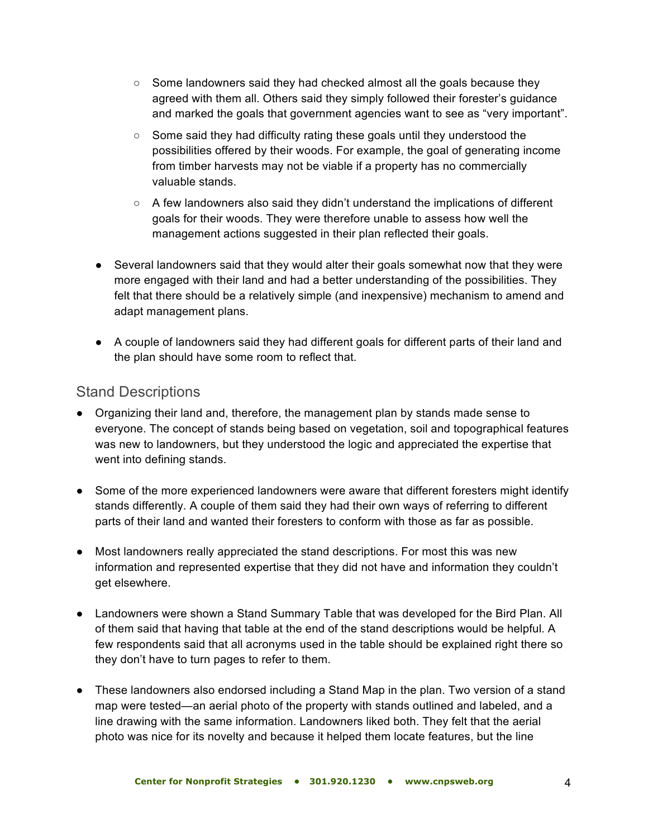- $\circ$  Some landowners said they had checked almost all the goals because they agreed with them all. Others said they simply followed their forester's guidance and marked the goals that government agencies want to see as "very important".
- Some said they had difficulty rating these goals until they understood the possibilities offered by their woods. For example, the goal of generating income from timber harvests may not be viable if a property has no commercially valuable stands.
- A few landowners also said they didn't understand the implications of different goals for their woods. They were therefore unable to assess how well the management actions suggested in their plan reflected their goals.
- Several landowners said that they would alter their goals somewhat now that they were more engaged with their land and had a better understanding of the possibilities. They felt that there should be a relatively simple (and inexpensive) mechanism to amend and adapt management plans.
- A couple of landowners said they had different goals for different parts of their land and the plan should have some room to reflect that.

#### Stand Descriptions

- Organizing their land and, therefore, the management plan by stands made sense to everyone. The concept of stands being based on vegetation, soil and topographical features was new to landowners, but they understood the logic and appreciated the expertise that went into defining stands.
- Some of the more experienced landowners were aware that different foresters might identify stands differently. A couple of them said they had their own ways of referring to different parts of their land and wanted their foresters to conform with those as far as possible.
- Most landowners really appreciated the stand descriptions. For most this was new information and represented expertise that they did not have and information they couldn't get elsewhere.
- Landowners were shown a Stand Summary Table that was developed for the Bird Plan. All of them said that having that table at the end of the stand descriptions would be helpful. A few respondents said that all acronyms used in the table should be explained right there so they don't have to turn pages to refer to them.
- These landowners also endorsed including a Stand Map in the plan. Two version of a stand map were tested—an aerial photo of the property with stands outlined and labeled, and a line drawing with the same information. Landowners liked both. They felt that the aerial photo was nice for its novelty and because it helped them locate features, but the line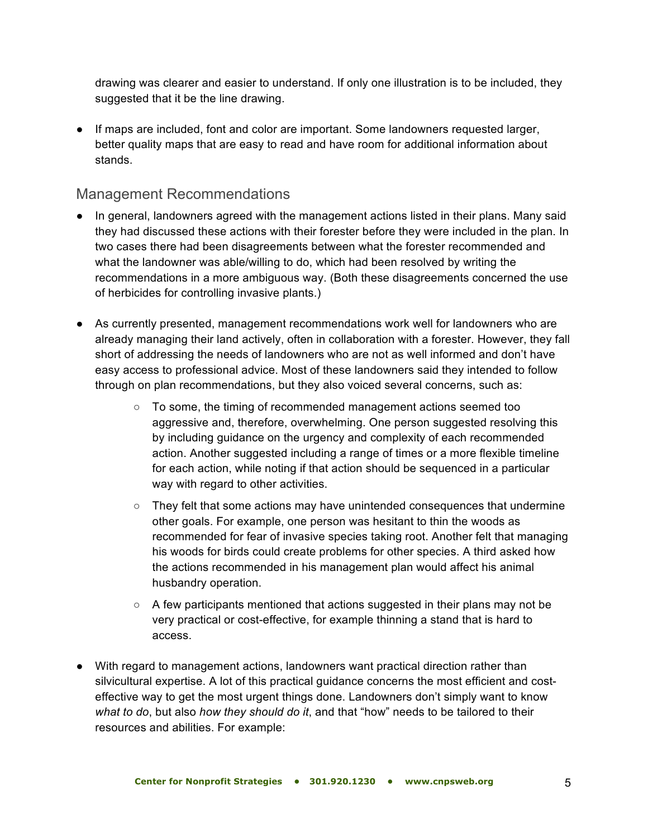drawing was clearer and easier to understand. If only one illustration is to be included, they suggested that it be the line drawing.

● If maps are included, font and color are important. Some landowners requested larger, better quality maps that are easy to read and have room for additional information about stands.

#### Management Recommendations

- In general, landowners agreed with the management actions listed in their plans. Many said they had discussed these actions with their forester before they were included in the plan. In two cases there had been disagreements between what the forester recommended and what the landowner was able/willing to do, which had been resolved by writing the recommendations in a more ambiguous way. (Both these disagreements concerned the use of herbicides for controlling invasive plants.)
- As currently presented, management recommendations work well for landowners who are already managing their land actively, often in collaboration with a forester. However, they fall short of addressing the needs of landowners who are not as well informed and don't have easy access to professional advice. Most of these landowners said they intended to follow through on plan recommendations, but they also voiced several concerns, such as:
	- To some, the timing of recommended management actions seemed too aggressive and, therefore, overwhelming. One person suggested resolving this by including guidance on the urgency and complexity of each recommended action. Another suggested including a range of times or a more flexible timeline for each action, while noting if that action should be sequenced in a particular way with regard to other activities.
	- $\circ$  They felt that some actions may have unintended consequences that undermine other goals. For example, one person was hesitant to thin the woods as recommended for fear of invasive species taking root. Another felt that managing his woods for birds could create problems for other species. A third asked how the actions recommended in his management plan would affect his animal husbandry operation.
	- A few participants mentioned that actions suggested in their plans may not be very practical or cost-effective, for example thinning a stand that is hard to access.
- With regard to management actions, landowners want practical direction rather than silvicultural expertise. A lot of this practical guidance concerns the most efficient and costeffective way to get the most urgent things done. Landowners don't simply want to know *what to do*, but also *how they should do it*, and that "how" needs to be tailored to their resources and abilities. For example: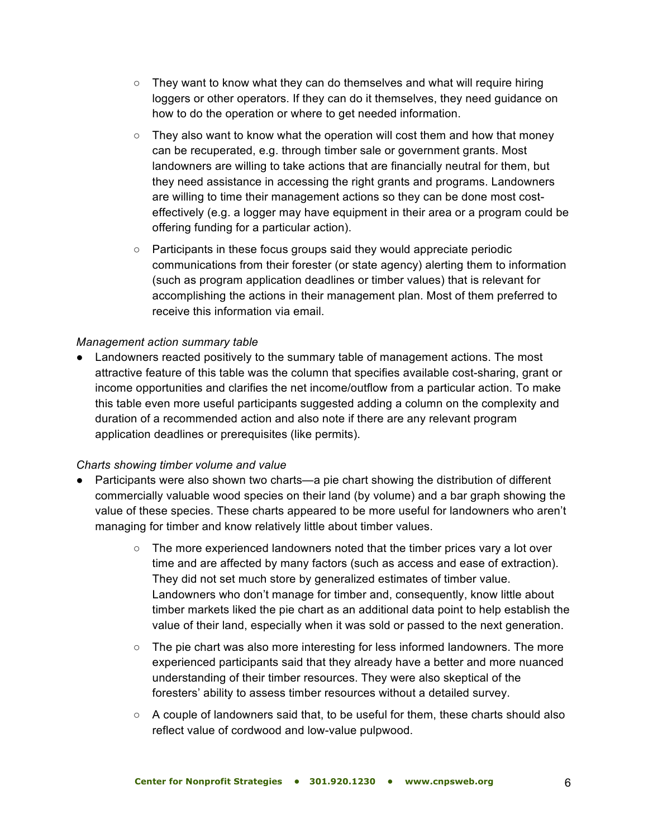- $\circ$  They want to know what they can do themselves and what will require hiring loggers or other operators. If they can do it themselves, they need guidance on how to do the operation or where to get needed information.
- $\circ$  They also want to know what the operation will cost them and how that money can be recuperated, e.g. through timber sale or government grants. Most landowners are willing to take actions that are financially neutral for them, but they need assistance in accessing the right grants and programs. Landowners are willing to time their management actions so they can be done most costeffectively (e.g. a logger may have equipment in their area or a program could be offering funding for a particular action).
- Participants in these focus groups said they would appreciate periodic communications from their forester (or state agency) alerting them to information (such as program application deadlines or timber values) that is relevant for accomplishing the actions in their management plan. Most of them preferred to receive this information via email.

#### *Management action summary table*

● Landowners reacted positively to the summary table of management actions. The most attractive feature of this table was the column that specifies available cost-sharing, grant or income opportunities and clarifies the net income/outflow from a particular action. To make this table even more useful participants suggested adding a column on the complexity and duration of a recommended action and also note if there are any relevant program application deadlines or prerequisites (like permits).

#### *Charts showing timber volume and value*

- Participants were also shown two charts—a pie chart showing the distribution of different commercially valuable wood species on their land (by volume) and a bar graph showing the value of these species. These charts appeared to be more useful for landowners who aren't managing for timber and know relatively little about timber values.
	- $\circ$  The more experienced landowners noted that the timber prices vary a lot over time and are affected by many factors (such as access and ease of extraction). They did not set much store by generalized estimates of timber value. Landowners who don't manage for timber and, consequently, know little about timber markets liked the pie chart as an additional data point to help establish the value of their land, especially when it was sold or passed to the next generation.
	- $\circ$  The pie chart was also more interesting for less informed landowners. The more experienced participants said that they already have a better and more nuanced understanding of their timber resources. They were also skeptical of the foresters' ability to assess timber resources without a detailed survey.
	- $\circ$  A couple of landowners said that, to be useful for them, these charts should also reflect value of cordwood and low-value pulpwood.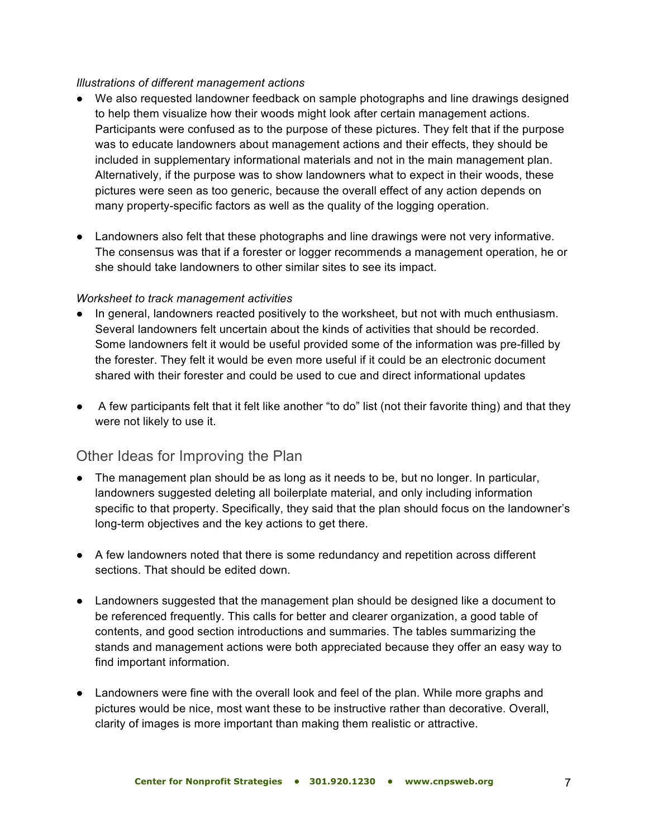#### *Illustrations of different management actions*

- We also requested landowner feedback on sample photographs and line drawings designed to help them visualize how their woods might look after certain management actions. Participants were confused as to the purpose of these pictures. They felt that if the purpose was to educate landowners about management actions and their effects, they should be included in supplementary informational materials and not in the main management plan. Alternatively, if the purpose was to show landowners what to expect in their woods, these pictures were seen as too generic, because the overall effect of any action depends on many property-specific factors as well as the quality of the logging operation.
- Landowners also felt that these photographs and line drawings were not very informative. The consensus was that if a forester or logger recommends a management operation, he or she should take landowners to other similar sites to see its impact.

#### *Worksheet to track management activities*

- In general, landowners reacted positively to the worksheet, but not with much enthusiasm. Several landowners felt uncertain about the kinds of activities that should be recorded. Some landowners felt it would be useful provided some of the information was pre-filled by the forester. They felt it would be even more useful if it could be an electronic document shared with their forester and could be used to cue and direct informational updates
- A few participants felt that it felt like another "to do" list (not their favorite thing) and that they were not likely to use it.

#### Other Ideas for Improving the Plan

- The management plan should be as long as it needs to be, but no longer. In particular, landowners suggested deleting all boilerplate material, and only including information specific to that property. Specifically, they said that the plan should focus on the landowner's long-term objectives and the key actions to get there.
- A few landowners noted that there is some redundancy and repetition across different sections. That should be edited down.
- Landowners suggested that the management plan should be designed like a document to be referenced frequently. This calls for better and clearer organization, a good table of contents, and good section introductions and summaries. The tables summarizing the stands and management actions were both appreciated because they offer an easy way to find important information.
- Landowners were fine with the overall look and feel of the plan. While more graphs and pictures would be nice, most want these to be instructive rather than decorative. Overall, clarity of images is more important than making them realistic or attractive.